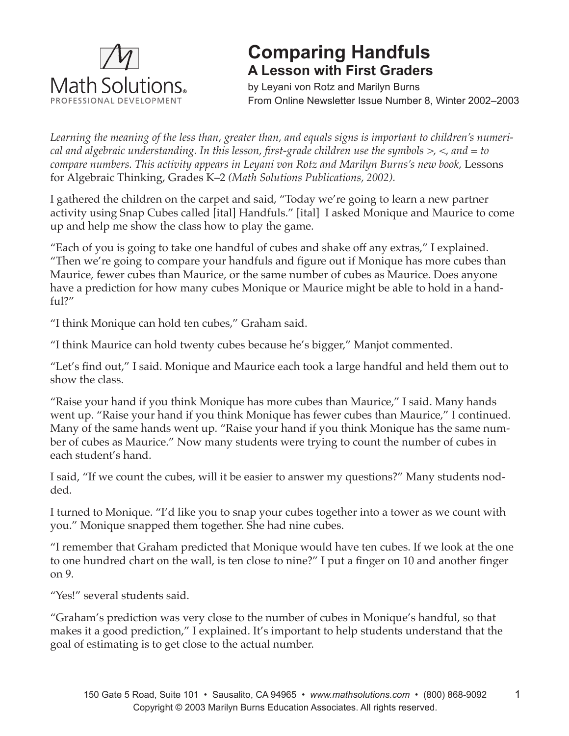

## **Comparing Handfuls A Lesson with First Graders**

by Leyani von Rotz and Marilyn Burns From Online Newsletter Issue Number 8, Winter 2002–2003

*Learning the meaning of the less than, greater than, and equals signs is important to children's numerical and algebraic understanding. In this lesson, first-grade children use the symbols >, <, and = to compare numbers. This activity appears in Leyani von Rotz and Marilyn Burns's new book,* Lessons for Algebraic Thinking, Grades K–2 *(Math Solutions Publications, 2002).* 

I gathered the children on the carpet and said, "Today we're going to learn a new partner activity using Snap Cubes called [ital] Handfuls." [ital] I asked Monique and Maurice to come up and help me show the class how to play the game.

"Each of you is going to take one handful of cubes and shake off any extras," I explained. "Then we're going to compare your handfuls and figure out if Monique has more cubes than Maurice, fewer cubes than Maurice, or the same number of cubes as Maurice. Does anyone have a prediction for how many cubes Monique or Maurice might be able to hold in a handful?"

"I think Monique can hold ten cubes," Graham said.

"I think Maurice can hold twenty cubes because he's bigger," Manjot commented.

"Let's find out," I said. Monique and Maurice each took a large handful and held them out to show the class.

"Raise your hand if you think Monique has more cubes than Maurice," I said. Many hands went up. "Raise your hand if you think Monique has fewer cubes than Maurice," I continued. Many of the same hands went up. "Raise your hand if you think Monique has the same number of cubes as Maurice." Now many students were trying to count the number of cubes in each student's hand.

I said, "If we count the cubes, will it be easier to answer my questions?" Many students nodded.

I turned to Monique. "I'd like you to snap your cubes together into a tower as we count with you." Monique snapped them together. She had nine cubes.

"I remember that Graham predicted that Monique would have ten cubes. If we look at the one to one hundred chart on the wall, is ten close to nine?" I put a finger on 10 and another finger on 9.

"Yes!" several students said.

"Graham's prediction was very close to the number of cubes in Monique's handful, so that makes it a good prediction," I explained. It's important to help students understand that the goal of estimating is to get close to the actual number.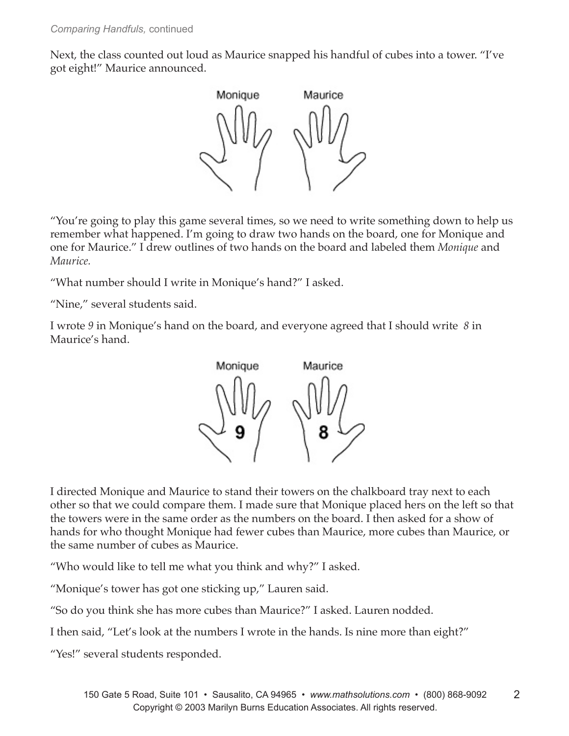Next, the class counted out loud as Maurice snapped his handful of cubes into a tower. "I've got eight!" Maurice announced.



"You're going to play this game several times, so we need to write something down to help us remember what happened. I'm going to draw two hands on the board, one for Monique and one for Maurice." I drew outlines of two hands on the board and labeled them *Monique* and *Maurice.*

"What number should I write in Monique's hand?" I asked.

"Nine," several students said.

I wrote *9* in Monique's hand on the board, and everyone agreed that I should write *8* in Maurice's hand.



I directed Monique and Maurice to stand their towers on the chalkboard tray next to each other so that we could compare them. I made sure that Monique placed hers on the left so that the towers were in the same order as the numbers on the board. I then asked for a show of hands for who thought Monique had fewer cubes than Maurice, more cubes than Maurice, or the same number of cubes as Maurice.

"Who would like to tell me what you think and why?" I asked.

"Monique's tower has got one sticking up," Lauren said.

"So do you think she has more cubes than Maurice?" I asked. Lauren nodded.

I then said, "Let's look at the numbers I wrote in the hands. Is nine more than eight?"

"Yes!" several students responded.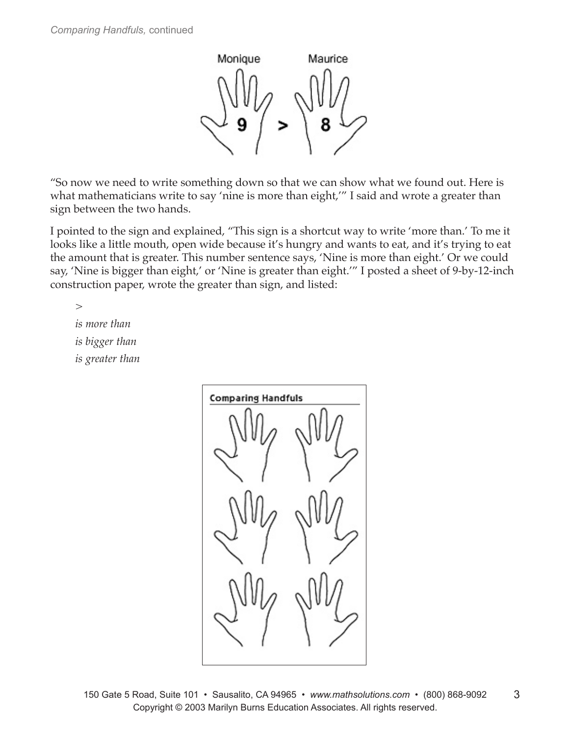

"So now we need to write something down so that we can show what we found out. Here is what mathematicians write to say 'nine is more than eight,'" I said and wrote a greater than sign between the two hands.

I pointed to the sign and explained, "This sign is a shortcut way to write 'more than.' To me it looks like a little mouth, open wide because it's hungry and wants to eat, and it's trying to eat the amount that is greater. This number sentence says, 'Nine is more than eight.' Or we could say, 'Nine is bigger than eight,' or 'Nine is greater than eight.'" I posted a sheet of 9-by-12-inch construction paper, wrote the greater than sign, and listed:

*> is more than is bigger than is greater than*

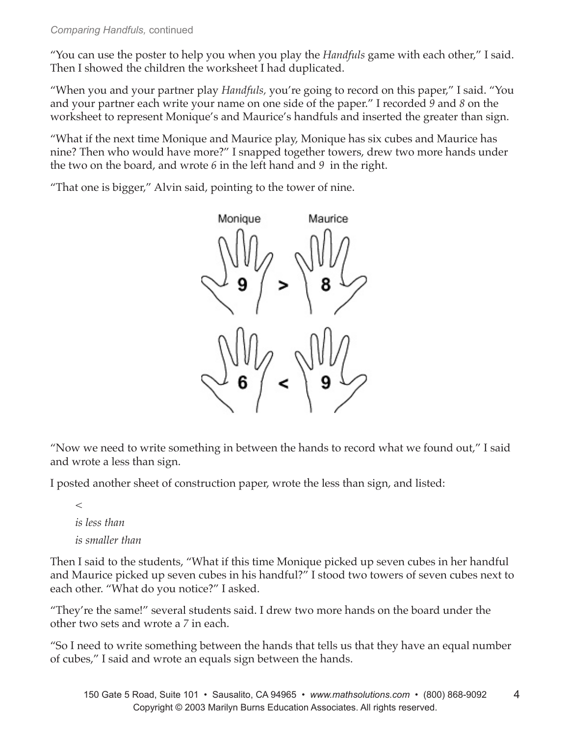## *Comparing Handfuls,* continued

"You can use the poster to help you when you play the *Handfuls* game with each other," I said. Then I showed the children the worksheet I had duplicated.

"When you and your partner play *Handfuls,* you're going to record on this paper," I said. "You and your partner each write your name on one side of the paper." I recorded *9* and *8* on the worksheet to represent Monique's and Maurice's handfuls and inserted the greater than sign.

"What if the next time Monique and Maurice play, Monique has six cubes and Maurice has nine? Then who would have more?" I snapped together towers, drew two more hands under the two on the board, and wrote *6* in the left hand and *9* in the right.

"That one is bigger," Alvin said, pointing to the tower of nine.



"Now we need to write something in between the hands to record what we found out," I said and wrote a less than sign.

I posted another sheet of construction paper, wrote the less than sign, and listed:

*< is less than is smaller than*

Then I said to the students, "What if this time Monique picked up seven cubes in her handful and Maurice picked up seven cubes in his handful?" I stood two towers of seven cubes next to each other. "What do you notice?" I asked.

"They're the same!" several students said. I drew two more hands on the board under the other two sets and wrote a *7* in each.

"So I need to write something between the hands that tells us that they have an equal number of cubes," I said and wrote an equals sign between the hands.